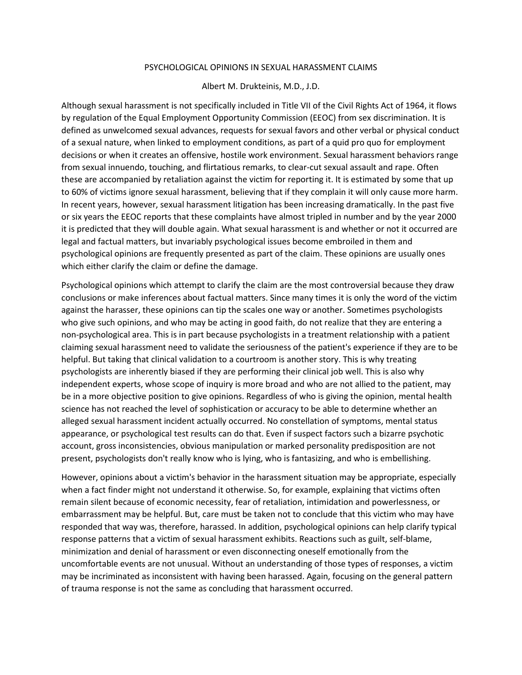## PSYCHOLOGICAL OPINIONS IN SEXUAL HARASSMENT CLAIMS

## Albert M. Drukteinis, M.D., J.D.

Although sexual harassment is not specifically included in Title VII of the Civil Rights Act of 1964, it flows by regulation of the Equal Employment Opportunity Commission (EEOC) from sex discrimination. It is defined as unwelcomed sexual advances, requests for sexual favors and other verbal or physical conduct of a sexual nature, when linked to employment conditions, as part of a quid pro quo for employment decisions or when it creates an offensive, hostile work environment. Sexual harassment behaviors range from sexual innuendo, touching, and flirtatious remarks, to clear-cut sexual assault and rape. Often these are accompanied by retaliation against the victim for reporting it. It is estimated by some that up to 60% of victims ignore sexual harassment, believing that if they complain it will only cause more harm. In recent years, however, sexual harassment litigation has been increasing dramatically. In the past five or six years the EEOC reports that these complaints have almost tripled in number and by the year 2000 it is predicted that they will double again. What sexual harassment is and whether or not it occurred are legal and factual matters, but invariably psychological issues become embroiled in them and psychological opinions are frequently presented as part of the claim. These opinions are usually ones which either clarify the claim or define the damage.

Psychological opinions which attempt to clarify the claim are the most controversial because they draw conclusions or make inferences about factual matters. Since many times it is only the word of the victim against the harasser, these opinions can tip the scales one way or another. Sometimes psychologists who give such opinions, and who may be acting in good faith, do not realize that they are entering a non-psychological area. This is in part because psychologists in a treatment relationship with a patient claiming sexual harassment need to validate the seriousness of the patient's experience if they are to be helpful. But taking that clinical validation to a courtroom is another story. This is why treating psychologists are inherently biased if they are performing their clinical job well. This is also why independent experts, whose scope of inquiry is more broad and who are not allied to the patient, may be in a more objective position to give opinions. Regardless of who is giving the opinion, mental health science has not reached the level of sophistication or accuracy to be able to determine whether an alleged sexual harassment incident actually occurred. No constellation of symptoms, mental status appearance, or psychological test results can do that. Even if suspect factors such a bizarre psychotic account, gross inconsistencies, obvious manipulation or marked personality predisposition are not present, psychologists don't really know who is lying, who is fantasizing, and who is embellishing.

However, opinions about a victim's behavior in the harassment situation may be appropriate, especially when a fact finder might not understand it otherwise. So, for example, explaining that victims often remain silent because of economic necessity, fear of retaliation, intimidation and powerlessness, or embarrassment may be helpful. But, care must be taken not to conclude that this victim who may have responded that way was, therefore, harassed. In addition, psychological opinions can help clarify typical response patterns that a victim of sexual harassment exhibits. Reactions such as guilt, self-blame, minimization and denial of harassment or even disconnecting oneself emotionally from the uncomfortable events are not unusual. Without an understanding of those types of responses, a victim may be incriminated as inconsistent with having been harassed. Again, focusing on the general pattern of trauma response is not the same as concluding that harassment occurred.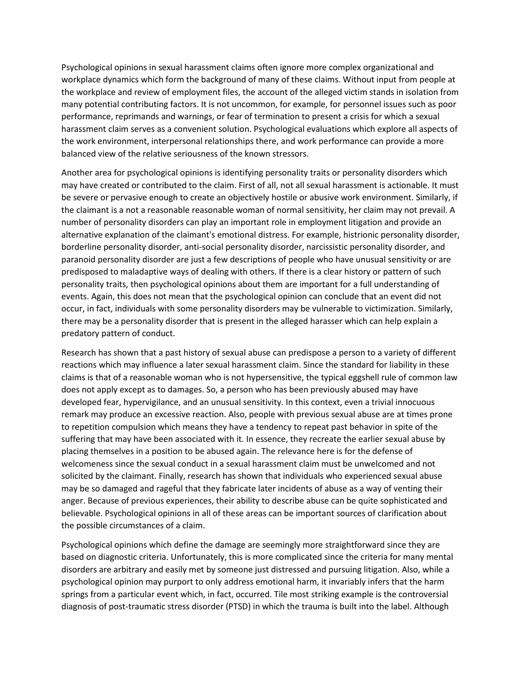Psychological opinions in sexual harassment claims often ignore more complex organizational and workplace dynamics which form the background of many of these claims. Without input from people at the workplace and review of employment files, the account of the alleged victim stands in isolation from many potential contributing factors. It is not uncommon, for example, for personnel issues such as poor performance, reprimands and warnings, or fear of termination to present a crisis for which a sexual harassment claim serves as a convenient solution. Psychological evaluations which explore all aspects of the work environment, interpersonal relationships there, and work performance can provide a more balanced view of the relative seriousness of the known stressors.

Another area for psychological opinions is identifying personality traits or personality disorders which may have created or contributed to the claim. First of all, not all sexual harassment is actionable. It must be severe or pervasive enough to create an objectively hostile or abusive work environment. Similarly, if the claimant is a not a reasonable reasonable woman of normal sensitivity, her claim may not prevail. A number of personality disorders can play an important role in employment litigation and provide an alternative explanation of the claimant's emotional distress. For example, histrionic personality disorder, borderline personality disorder, anti-social personality disorder, narcissistic personality disorder, and paranoid personality disorder are just a few descriptions of people who have unusual sensitivity or are predisposed to maladaptive ways of dealing with others. If there is a clear history or pattern of such personality traits, then psychological opinions about them are important for a full understanding of events. Again, this does not mean that the psychological opinion can conclude that an event did not occur, in fact, individuals with some personality disorders may be vulnerable to victimization. Similarly, there may be a personality disorder that is present in the alleged harasser which can help explain a predatory pattern of conduct.

Research has shown that a past history of sexual abuse can predispose a person to a variety of different reactions which may influence a later sexual harassment claim. Since the standard for liability in these claims is that of a reasonable woman who is not hypersensitive, the typical eggshell rule of common law does not apply except as to damages. So, a person who has been previously abused may have developed fear, hypervigilance, and an unusual sensitivity. In this context, even a trivial innocuous remark may produce an excessive reaction. Also, people with previous sexual abuse are at times prone to repetition compulsion which means they have a tendency to repeat past behavior in spite of the suffering that may have been associated with it. In essence, they recreate the earlier sexual abuse by placing themselves in a position to be abused again. The relevance here is for the defense of welcomeness since the sexual conduct in a sexual harassment claim must be unwelcomed and not solicited by the claimant. Finally, research has shown that individuals who experienced sexual abuse may be so damaged and rageful that they fabricate later incidents of abuse as a way of venting their anger. Because of previous experiences, their ability to describe abuse can be quite sophisticated and believable. Psychological opinions in all of these areas can be important sources of clarification about the possible circumstances of a claim.

Psychological opinions which define the damage are seemingly more straightforward since they are based on diagnostic criteria. Unfortunately, this is more complicated since the criteria for many mental disorders are arbitrary and easily met by someone just distressed and pursuing litigation. Also, while a psychological opinion may purport to only address emotional harm, it invariably infers that the harm springs from a particular event which, in fact, occurred. Tile most striking example is the controversial diagnosis of post-traumatic stress disorder (PTSD) in which the trauma is built into the label. Although